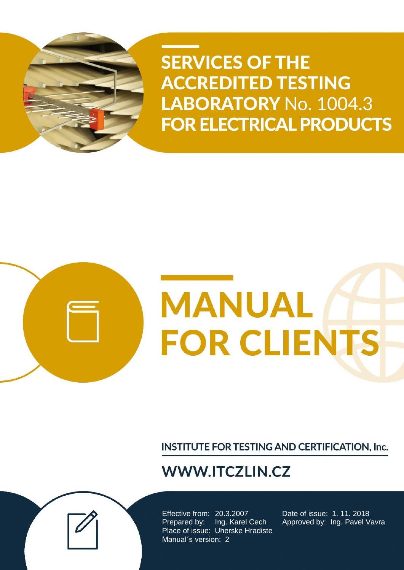

**SERVICES OF THE ACCREDITED TESTING** LABORATORY No. 1004.3 **FOR ELECTRICAL PRODUCTS** 

# **MANUAL FOR CLIENTS**

**INSTITUTE FOR TESTING AND CERTIFICATION, Inc.** 

# **WWW.ITCZLIN.CZ**

Effective from: 20.3.2007 Date of issue: 1. 11. 2018 Prepared by: Ing. Karel Cech Approved by: Ing. Pavel Vavra Place of issue: Uherske Hradiste Manual´s version: 2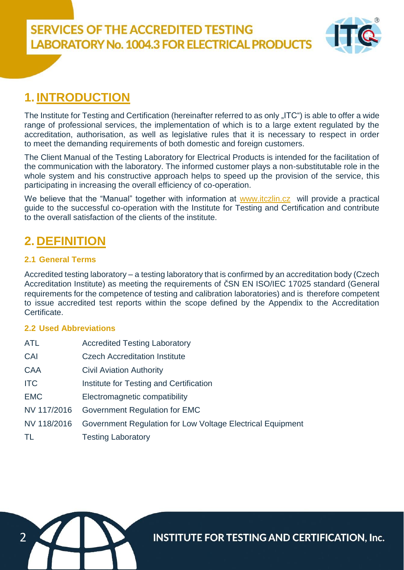

## **1. INTRODUCTION**

The Institute for Testing and Certification (hereinafter referred to as only "ITC") is able to offer a wide range of professional services, the implementation of which is to a large extent regulated by the accreditation, authorisation, as well as legislative rules that it is necessary to respect in order to meet the demanding requirements of both domestic and foreign customers.

The Client Manual of the Testing Laboratory for Electrical Products is intended for the facilitation of the communication with the laboratory. The informed customer plays a non-substitutable role in the whole system and his constructive approach helps to speed up the provision of the service, this participating in increasing the overall efficiency of co-operation.

We believe that the "Manual" together with information at [www.itczlin.cz](http://www.itczlin.cz/) will provide a practical guide to the successful co-operation with the Institute for Testing and Certification and contribute to the overall satisfaction of the clients of the institute.

## **2. DEFINITION**

#### **2.1 General Terms**

Accredited testing laboratory – a testing laboratory that is confirmed by an accreditation body (Czech Accreditation Institute) as meeting the requirements of ČSN EN ISO/IEC 17025 standard (General requirements for the competence of testing and calibration laboratories) and is therefore competent to issue accredited test reports within the scope defined by the Appendix to the Accreditation Certificate.

#### **2.2 Used Abbreviations**

| ATL         | <b>Accredited Testing Laboratory</b>                       |
|-------------|------------------------------------------------------------|
| CAI         | <b>Czech Accreditation Institute</b>                       |
| <b>CAA</b>  | <b>Civil Aviation Authority</b>                            |
| <b>ITC</b>  | Institute for Testing and Certification                    |
| <b>EMC</b>  | Electromagnetic compatibility                              |
| NV 117/2016 | Government Regulation for EMC                              |
| NV 118/2016 | Government Regulation for Low Voltage Electrical Equipment |
| TL          | <b>Testing Laboratory</b>                                  |

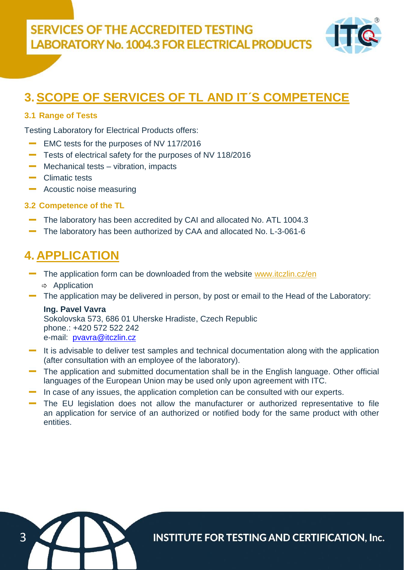

## **3.SCOPE OF SERVICES OF TL AND IT´S COMPETENCE**

#### **3.1 Range of Tests**

Testing Laboratory for Electrical Products offers:

- EMC tests for the purposes of NV 117/2016
- Tests of electrical safety for the purposes of NV 118/2016
- Mechanical tests vibration, impacts
- Climatic tests
- Acoustic noise measuring

#### **3.2 Competence of the TL**

- The laboratory has been accredited by CAI and allocated No. ATL 1004.3
- The laboratory has been authorized by CAA and allocated No. L-3-061-6

### **4. APPLICATION**

- The application form can be downloaded from the website [www.itczlin.cz/en](http://www.itczlin.cz/en/laboratory-electrical-products)  $\Rightarrow$  Application
- The application may be delivered in person, by post or email to the Head of the Laboratory:

#### **Ing. Pavel Vavra**

Sokolovska 573, 686 01 Uherske Hradiste, Czech Republic phone.: +420 572 522 242 e-mail: [pvavra@itczlin.cz](mailto:pvavra@itczlin.cz)

- It is advisable to deliver test samples and technical documentation along with the application (after consultation with an employee of the laboratory).
- The application and submitted documentation shall be in the English language. Other official languages of the European Union may be used only upon agreement with ITC.
- In case of any issues, the application completion can be consulted with our experts.
- The EU legislation does not allow the manufacturer or authorized representative to file an application for service of an authorized or notified body for the same product with other entities.

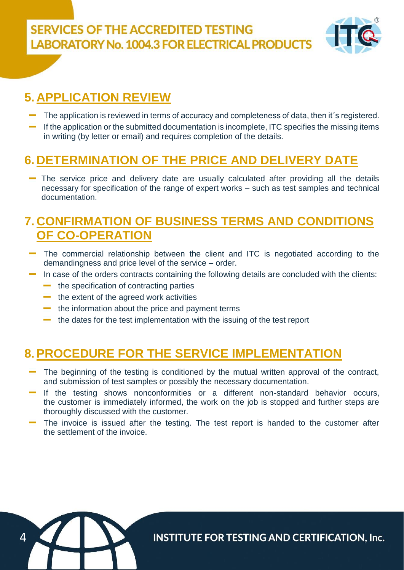**SERVICES OF THE ACCREDITED TESTING LABORATORY No. 1004.3 FOR ELECTRICAL PRODUCTS** 



## **5. APPLICATION REVIEW**

- The application is reviewed in terms of accuracy and completeness of data, then it´s registered.
- If the application or the submitted documentation is incomplete, ITC specifies the missing items in writing (by letter or email) and requires completion of the details.

## **6. DETERMINATION OF THE PRICE AND DELIVERY DATE**

The service price and delivery date are usually calculated after providing all the details necessary for specification of the range of expert works – such as test samples and technical documentation.

#### **7. CONFIRMATION OF BUSINESS TERMS AND CONDITIONS OF CO-OPERATION**

- The commercial relationship between the client and ITC is negotiated according to the demandingness and price level of the service – order.
- In case of the orders contracts containing the following details are concluded with the clients:
	- $\blacksquare$  the specification of contracting parties
	- $\blacksquare$  the extent of the agreed work activities
	- $\blacksquare$  the information about the price and payment terms
	- $\blacksquare$  the dates for the test implementation with the issuing of the test report

#### **8.PROCEDURE FOR THE SERVICE IMPLEMENTATION**

- The beginning of the testing is conditioned by the mutual written approval of the contract, and submission of test samples or possibly the necessary documentation.
- If the testing shows nonconformities or a different non-standard behavior occurs, the customer is immediately informed, the work on the job is stopped and further steps are thoroughly discussed with the customer.
- The invoice is issued after the testing. The test report is handed to the customer after the settlement of the invoice.